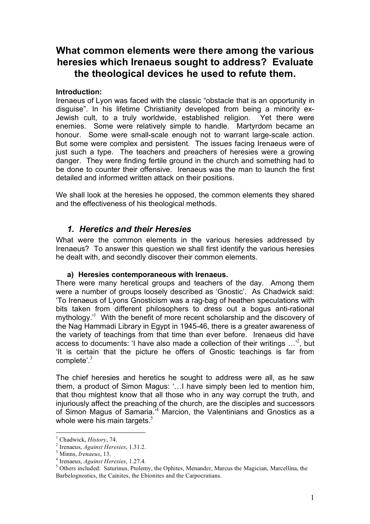# **What common elements were there among the various heresies which Irenaeus sought to address? Evaluate the theological devices he used to refute them.**

# **Introduction:**

Irenaeus of Lyon was faced with the classic "obstacle that is an opportunity in disguise". In his lifetime Christianity developed from being a minority ex-Jewish cult, to a truly worldwide, established religion. Yet there were enemies. Some were relatively simple to handle. Martyrdom became an honour. Some were small-scale enough not to warrant large-scale action. But some were complex and persistent. The issues facing Irenaeus were of just such a type. The teachers and preachers of heresies were a growing danger. They were finding fertile ground in the church and something had to be done to counter their offensive. Irenaeus was the man to launch the first detailed and informed written attack on their positions.

We shall look at the heresies he opposed, the common elements they shared and the effectiveness of his theological methods.

# *1. Heretics and their Heresies*

What were the common elements in the various heresies addressed by Irenaeus? To answer this question we shall first identify the various heresies he dealt with, and secondly discover their common elements.

# **a) Heresies contemporaneous with Irenaeus.**

There were many heretical groups and teachers of the day. Among them were a number of groups loosely described as 'Gnostic'. As Chadwick said: 'To Irenaeus of Lyons Gnosticism was a rag-bag of heathen speculations with bits taken from different philosophers to dress out a bogus anti-rational mythology.<sup>1</sup> With the benefit of more recent scholarship and the discovery of the Nag Hammadi Library in Egypt in 1945-46, there is a greater awareness of the variety of teachings from that time than ever before. Irenaeus did have access to documents: 'I have also made a collection of their writings  $\ldots$ <sup>2</sup>, but 'It is certain that the picture he offers of Gnostic teachings is far from complete'.<sup>3</sup>

The chief heresies and heretics he sought to address were all, as he saw them, a product of Simon Magus: '…I have simply been led to mention him, that thou mightest know that all those who in any way corrupt the truth, and injuriously affect the preaching of the church, are the disciples and successors of Simon Magus of Samaria.<sup>4</sup> Marcion, the Valentinians and Gnostics as a whole were his main targets. $5$ 

<sup>&</sup>lt;sup>1</sup> Chadwick, *History*, 74.<br>
<sup>2</sup> Irenaeus, *Against Heresies*, 1.31.2.<br>
<sup>3</sup> Minns, *Irenaeus*, 13.<br>
<sup>4</sup> Irenaeus, *Against Heresies*, 1.27.4.<br>
<sup>5</sup> Others included: Saturinus. Ptolemy. the Ophites. Menander. Marcus the Ma Barbelognostics, the Cainites, the Ebionites and the Carpocratians.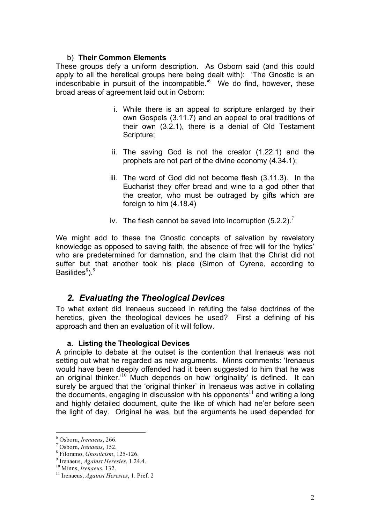#### b) **Their Common Elements**

These groups defy a uniform description. As Osborn said (and this could apply to all the heretical groups here being dealt with): 'The Gnostic is an indescribable in pursuit of the incompatible.' <sup>6</sup> We do find, however, these broad areas of agreement laid out in Osborn:

- i. While there is an appeal to scripture enlarged by their own Gospels (3.11.7) and an appeal to oral traditions of their own (3.2.1), there is a denial of Old Testament Scripture;
- ii. The saving God is not the creator (1.22.1) and the prophets are not part of the divine economy (4.34.1);
- iii. The word of God did not become flesh (3.11.3). In the Eucharist they offer bread and wine to a god other that the creator, who must be outraged by gifts which are foreign to him (4.18.4)
- iv. The flesh cannot be saved into incorruption  $(5.2.2)$ .

We might add to these the Gnostic concepts of salvation by revelatory knowledge as opposed to saving faith, the absence of free will for the 'hylics' who are predetermined for damnation, and the claim that the Christ did not suffer but that another took his place (Simon of Cyrene, according to Basilides ${}^{8}$ ). ${}^{9}$ 

# *2. Evaluating the Theological Devices*

To what extent did Irenaeus succeed in refuting the false doctrines of the heretics, given the theological devices he used? First a defining of his approach and then an evaluation of it will follow.

# **a. Listing the Theological Devices**

A principle to debate at the outset is the contention that Irenaeus was not setting out what he regarded as new arguments. Minns comments: 'Irenaeus would have been deeply offended had it been suggested to him that he was an original thinker.<sup>10</sup> Much depends on how 'originality' is defined. It can surely be argued that the 'original thinker' in Irenaeus was active in collating the documents, engaging in discussion with his opponents<sup>11</sup> and writing a long and highly detailed document, quite the like of which had ne'er before seen the light of day. Original he was, but the arguments he used depended for

<sup>&</sup>lt;sup>6</sup> Osborn, *Irenaeus*, 266.<br>
<sup>7</sup> Osborn, *Irenaeus*, 152.<br>
<sup>8</sup> Filoramo, *Gnosticism*, 125-126.<br>
<sup>9</sup> Irenaeus, *Against Heresies*, 1.24.4.<br>
<sup>10</sup> Minns, *Irenaeus*, 132.<br>
<sup>11</sup> Irenaeus, *Against Heresies*, 1. Pref. 2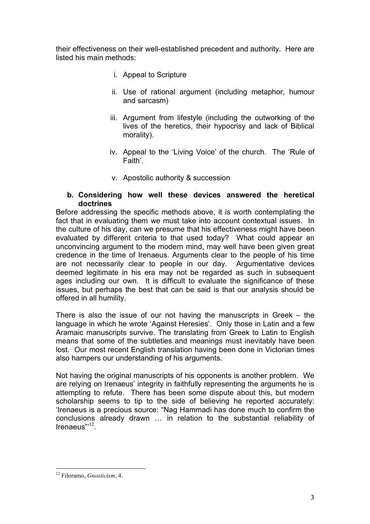their effectiveness on their well-established precedent and authority. Here are listed his main methods:

- i. Appeal to Scripture
- ii. Use of rational argument (including metaphor, humour and sarcasm)
- iii. Argument from lifestyle (including the outworking of the lives of the heretics, their hypocrisy and lack of Biblical morality).
- iv. Appeal to the 'Living Voice' of the church. The 'Rule of Faith'.
- v. Apostolic authority & succession

# **b. Considering how well these devices answered the heretical doctrines**

Before addressing the specific methods above, it is worth contemplating the fact that in evaluating them we must take into account contextual issues. In the culture of his day, can we presume that his effectiveness might have been evaluated by different criteria to that used today? What could appear an unconvincing argument to the modern mind, may well have been given great credence in the time of Irenaeus. Arguments clear to the people of his time are not necessarily clear to people in our day. Argumentative devices deemed legitimate in his era may not be regarded as such in subsequent ages including our own. It is difficult to evaluate the significance of these issues, but perhaps the best that can be said is that our analysis should be offered in all humility.

There is also the issue of our not having the manuscripts in Greek – the language in which he wrote 'Against Heresies'. Only those in Latin and a few Aramaic manuscripts survive. The translating from Greek to Latin to English means that some of the subtleties and meanings must inevitably have been lost. Our most recent English translation having been done in Victorian times also hampers our understanding of his arguments.

Not having the original manuscripts of his opponents is another problem. We are relying on Irenaeus' integrity in faithfully representing the arguments he is attempting to refute. There has been some dispute about this, but modern scholarship seems to tip to the side of believing he reported accurately: 'Irenaeus is a precious source: "Nag Hammadi has done much to confirm the conclusions already drawn … in relation to the substantial reliability of Irenaeus"<sup>12</sup>.

 <sup>12</sup> Filoramo, *Gnosticism*, 4.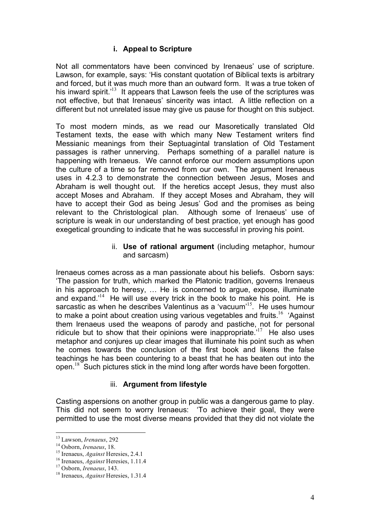# **i. Appeal to Scripture**

Not all commentators have been convinced by Irenaeus' use of scripture. Lawson, for example, says: 'His constant quotation of Biblical texts is arbitrary and forced, but it was much more than an outward form. It was a true token of his inward spirit.<sup> $13$ </sup> It appears that Lawson feels the use of the scriptures was not effective, but that Irenaeus' sincerity was intact. A little reflection on a different but not unrelated issue may give us pause for thought on this subject.

To most modern minds, as we read our Masoretically translated Old Testament texts, the ease with which many New Testament writers find Messianic meanings from their Septuagintal translation of Old Testament passages is rather unnerving. Perhaps something of a parallel nature is happening with Irenaeus. We cannot enforce our modern assumptions upon the culture of a time so far removed from our own. The argument Irenaeus uses in 4.2.3 to demonstrate the connection between Jesus, Moses and Abraham is well thought out. If the heretics accept Jesus, they must also accept Moses and Abraham. If they accept Moses and Abraham, they will have to accept their God as being Jesus' God and the promises as being relevant to the Christological plan. Although some of Irenaeus' use of scripture is weak in our understanding of best practice, yet enough has good exegetical grounding to indicate that he was successful in proving his point.

#### ii. **Use of rational argument** (including metaphor, humour and sarcasm)

Irenaeus comes across as a man passionate about his beliefs. Osborn says: 'The passion for truth, which marked the Platonic tradition, governs Irenaeus in his approach to heresy, … He is concerned to argue, expose, illuminate and expand.<sup>14</sup> He will use every trick in the book to make his point. He is sarcastic as when he describes Valentinus as a 'vacuum'<sup>15</sup>. He uses humour to make a point about creation using various vegetables and fruits.<sup>16</sup> 'Against them Irenaeus used the weapons of parody and pastiche, not for personal ridicule but to show that their opinions were inappropriate.<sup>17</sup> He also uses metaphor and conjures up clear images that illuminate his point such as when he comes towards the conclusion of the first book and likens the false teachings he has been countering to a beast that he has beaten out into the open.<sup>18</sup> Such pictures stick in the mind long after words have been forgotten.

# iii. **Argument from lifestyle**

Casting aspersions on another group in public was a dangerous game to play. This did not seem to worry Irenaeus: 'To achieve their goal, they were permitted to use the most diverse means provided that they did not violate the

<sup>&</sup>lt;sup>13</sup> Lawson, *Irenaeus*, 292<br><sup>14</sup> Osborn, *Irenaeus*, 18.<br><sup>15</sup> Irenaeus, *Against* Heresies, 2.4.1<br><sup>16</sup> Irenaeus, *Against* Heresies, 1.11.4<br><sup>17</sup> Osborn, *Irenaeus*, 143.<br><sup>18</sup> Irenaeus. *Against* Heresies. 1.31.4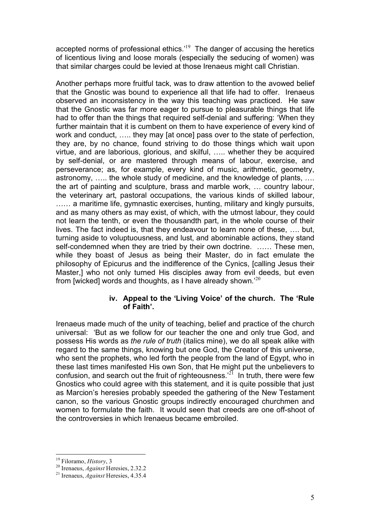accepted norms of professional ethics.<sup>19</sup> The danger of accusing the heretics of licentious living and loose morals (especially the seducing of women) was that similar charges could be levied at those Irenaeus might call Christian.

Another perhaps more fruitful tack, was to draw attention to the avowed belief that the Gnostic was bound to experience all that life had to offer. Irenaeus observed an inconsistency in the way this teaching was practiced. He saw that the Gnostic was far more eager to pursue to pleasurable things that life had to offer than the things that required self-denial and suffering: 'When they further maintain that it is cumbent on them to have experience of every kind of work and conduct, ….. they may [at once] pass over to the state of perfection, they are, by no chance, found striving to do those things which wait upon virtue, and are laborious, glorious, and skilful, ….. whether they be acquired by self-denial, or are mastered through means of labour, exercise, and perseverance; as, for example, every kind of music, arithmetic, geometry, astronomy, ….. the whole study of medicine, and the knowledge of plants, …. the art of painting and sculpture, brass and marble work, … country labour, the veterinary art, pastoral occupations, the various kinds of skilled labour, ...... a maritime life, gymnastic exercises, hunting, military and kingly pursuits, and as many others as may exist, of which, with the utmost labour, they could not learn the tenth, or even the thousandth part, in the whole course of their lives. The fact indeed is, that they endeavour to learn none of these, …. but, turning aside to voluptuousness, and lust, and abominable actions, they stand self-condemned when they are tried by their own doctrine. …… These men, while they boast of Jesus as being their Master, do in fact emulate the philosophy of Epicurus and the indifference of the Cynics, [calling Jesus their Master,] who not only turned His disciples away from evil deeds, but even from [wicked] words and thoughts, as I have already shown.<sup>'20</sup>

# **iv. Appeal to the 'Living Voice' of the church. The 'Rule of Faith'.**

Irenaeus made much of the unity of teaching, belief and practice of the church universal: 'But as we follow for our teacher the one and only true God, and possess His words as *the rule of truth* (italics mine), we do all speak alike with regard to the same things, knowing but one God, the Creator of this universe, who sent the prophets, who led forth the people from the land of Egypt, who in these last times manifested His own Son, that He might put the unbelievers to confusion, and search out the fruit of righteousness.<sup>21</sup> In truth, there were few Gnostics who could agree with this statement, and it is quite possible that just as Marcion's heresies probably speeded the gathering of the New Testament canon, so the various Gnostic groups indirectly encouraged churchmen and women to formulate the faith. It would seen that creeds are one off-shoot of the controversies in which Irenaeus became embroiled.

<sup>&</sup>lt;sup>19</sup> Filoramo, *History*, 3<br><sup>20</sup> Irenaeus, *Against* Heresies, 2.32.2<br><sup>21</sup> Irenaeus, *Against* Heresies, 4.35.4